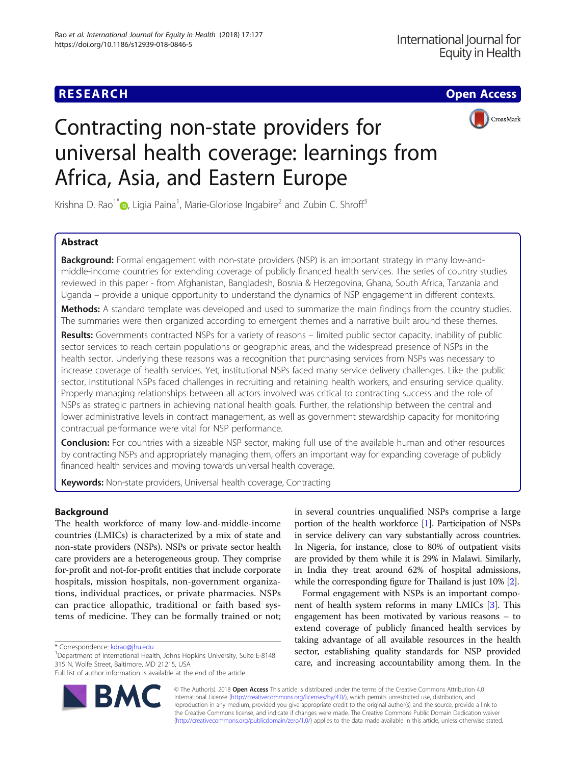## **RESEARCH CHE Open Access**



# Contracting non-state providers for universal health coverage: learnings from Africa, Asia, and Eastern Europe

Krishna D. Rao $^1$ ®, Ligia Paina $^1$ , Marie-Gloriose Ingabire $^2$  and Zubin C. Shroff $^3$ 

## Abstract

**Background:** Formal engagement with non-state providers (NSP) is an important strategy in many low-andmiddle-income countries for extending coverage of publicly financed health services. The series of country studies reviewed in this paper - from Afghanistan, Bangladesh, Bosnia & Herzegovina, Ghana, South Africa, Tanzania and Uganda – provide a unique opportunity to understand the dynamics of NSP engagement in different contexts.

Methods: A standard template was developed and used to summarize the main findings from the country studies. The summaries were then organized according to emergent themes and a narrative built around these themes.

Results: Governments contracted NSPs for a variety of reasons – limited public sector capacity, inability of public sector services to reach certain populations or geographic areas, and the widespread presence of NSPs in the health sector. Underlying these reasons was a recognition that purchasing services from NSPs was necessary to increase coverage of health services. Yet, institutional NSPs faced many service delivery challenges. Like the public sector, institutional NSPs faced challenges in recruiting and retaining health workers, and ensuring service quality. Properly managing relationships between all actors involved was critical to contracting success and the role of NSPs as strategic partners in achieving national health goals. Further, the relationship between the central and lower administrative levels in contract management, as well as government stewardship capacity for monitoring contractual performance were vital for NSP performance.

Conclusion: For countries with a sizeable NSP sector, making full use of the available human and other resources by contracting NSPs and appropriately managing them, offers an important way for expanding coverage of publicly financed health services and moving towards universal health coverage.

Keywords: Non-state providers, Universal health coverage, Contracting

## Background

The health workforce of many low-and-middle-income countries (LMICs) is characterized by a mix of state and non-state providers (NSPs). NSPs or private sector health care providers are a heterogeneous group. They comprise for-profit and not-for-profit entities that include corporate hospitals, mission hospitals, non-government organizations, individual practices, or private pharmacies. NSPs can practice allopathic, traditional or faith based systems of medicine. They can be formally trained or not;

Full list of author information is available at the end of the article



in several countries unqualified NSPs comprise a large portion of the health workforce [\[1\]](#page-7-0). Participation of NSPs in service delivery can vary substantially across countries. In Nigeria, for instance, close to 80% of outpatient visits are provided by them while it is 29% in Malawi. Similarly, in India they treat around 62% of hospital admissions, while the corresponding figure for Thailand is just 10% [\[2\]](#page-7-0).

Formal engagement with NSPs is an important component of health system reforms in many LMICs [[3\]](#page-7-0). This engagement has been motivated by various reasons – to extend coverage of publicly financed health services by taking advantage of all available resources in the health sector, establishing quality standards for NSP provided care, and increasing accountability among them. In the

© The Author(s). 2018 Open Access This article is distributed under the terms of the Creative Commons Attribution 4.0 International License [\(http://creativecommons.org/licenses/by/4.0/](http://creativecommons.org/licenses/by/4.0/)), which permits unrestricted use, distribution, and reproduction in any medium, provided you give appropriate credit to the original author(s) and the source, provide a link to the Creative Commons license, and indicate if changes were made. The Creative Commons Public Domain Dedication waiver [\(http://creativecommons.org/publicdomain/zero/1.0/](http://creativecommons.org/publicdomain/zero/1.0/)) applies to the data made available in this article, unless otherwise stated.

<sup>\*</sup> Correspondence: [kdrao@jhu.edu](mailto:kdrao@jhu.edu) <sup>1</sup>

<sup>&</sup>lt;sup>1</sup>Department of International Health, Johns Hopkins University, Suite E-8148 315 N. Wolfe Street, Baltimore, MD 21215, USA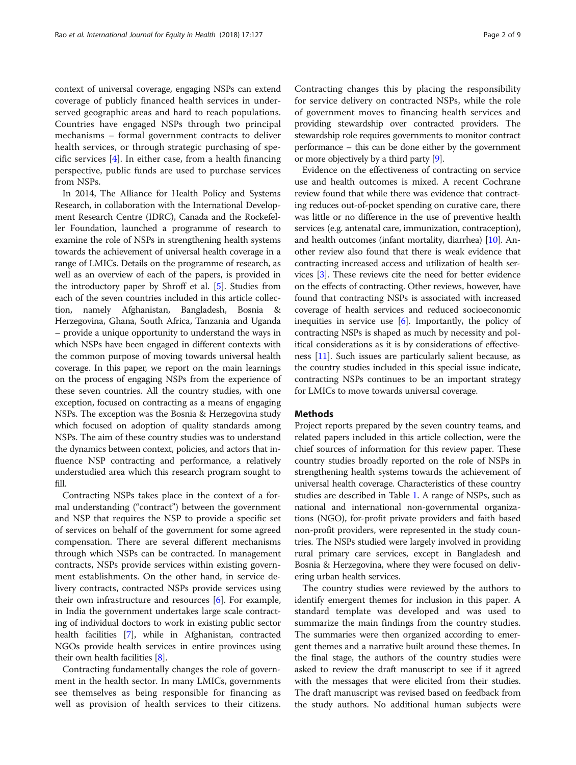context of universal coverage, engaging NSPs can extend coverage of publicly financed health services in underserved geographic areas and hard to reach populations. Countries have engaged NSPs through two principal mechanisms – formal government contracts to deliver health services, or through strategic purchasing of specific services [\[4](#page-7-0)]. In either case, from a health financing perspective, public funds are used to purchase services from NSPs.

In 2014, The Alliance for Health Policy and Systems Research, in collaboration with the International Development Research Centre (IDRC), Canada and the Rockefeller Foundation, launched a programme of research to examine the role of NSPs in strengthening health systems towards the achievement of universal health coverage in a range of LMICs. Details on the programme of research, as well as an overview of each of the papers, is provided in the introductory paper by Shroff et al. [[5\]](#page-7-0). Studies from each of the seven countries included in this article collection, namely Afghanistan, Bangladesh, Bosnia & Herzegovina, Ghana, South Africa, Tanzania and Uganda – provide a unique opportunity to understand the ways in which NSPs have been engaged in different contexts with the common purpose of moving towards universal health coverage. In this paper, we report on the main learnings on the process of engaging NSPs from the experience of these seven countries. All the country studies, with one exception, focused on contracting as a means of engaging NSPs. The exception was the Bosnia & Herzegovina study which focused on adoption of quality standards among NSPs. The aim of these country studies was to understand the dynamics between context, policies, and actors that influence NSP contracting and performance, a relatively understudied area which this research program sought to fill.

Contracting NSPs takes place in the context of a formal understanding ("contract") between the government and NSP that requires the NSP to provide a specific set of services on behalf of the government for some agreed compensation. There are several different mechanisms through which NSPs can be contracted. In management contracts, NSPs provide services within existing government establishments. On the other hand, in service delivery contracts, contracted NSPs provide services using their own infrastructure and resources [\[6](#page-7-0)]. For example, in India the government undertakes large scale contracting of individual doctors to work in existing public sector health facilities [[7\]](#page-7-0), while in Afghanistan, contracted NGOs provide health services in entire provinces using their own health facilities [\[8\]](#page-7-0).

Contracting fundamentally changes the role of government in the health sector. In many LMICs, governments see themselves as being responsible for financing as well as provision of health services to their citizens.

Contracting changes this by placing the responsibility for service delivery on contracted NSPs, while the role of government moves to financing health services and providing stewardship over contracted providers. The stewardship role requires governments to monitor contract performance – this can be done either by the government or more objectively by a third party [[9\]](#page-7-0).

Evidence on the effectiveness of contracting on service use and health outcomes is mixed. A recent Cochrane review found that while there was evidence that contracting reduces out-of-pocket spending on curative care, there was little or no difference in the use of preventive health services (e.g. antenatal care, immunization, contraception), and health outcomes (infant mortality, diarrhea) [\[10\]](#page-7-0). Another review also found that there is weak evidence that contracting increased access and utilization of health services [[3](#page-7-0)]. These reviews cite the need for better evidence on the effects of contracting. Other reviews, however, have found that contracting NSPs is associated with increased coverage of health services and reduced socioeconomic inequities in service use [[6\]](#page-7-0). Importantly, the policy of contracting NSPs is shaped as much by necessity and political considerations as it is by considerations of effectiveness [[11](#page-7-0)]. Such issues are particularly salient because, as the country studies included in this special issue indicate, contracting NSPs continues to be an important strategy for LMICs to move towards universal coverage.

## **Methods**

Project reports prepared by the seven country teams, and related papers included in this article collection, were the chief sources of information for this review paper. These country studies broadly reported on the role of NSPs in strengthening health systems towards the achievement of universal health coverage. Characteristics of these country studies are described in Table [1.](#page-2-0) A range of NSPs, such as national and international non-governmental organizations (NGO), for-profit private providers and faith based non-profit providers, were represented in the study countries. The NSPs studied were largely involved in providing rural primary care services, except in Bangladesh and Bosnia & Herzegovina, where they were focused on delivering urban health services.

The country studies were reviewed by the authors to identify emergent themes for inclusion in this paper. A standard template was developed and was used to summarize the main findings from the country studies. The summaries were then organized according to emergent themes and a narrative built around these themes. In the final stage, the authors of the country studies were asked to review the draft manuscript to see if it agreed with the messages that were elicited from their studies. The draft manuscript was revised based on feedback from the study authors. No additional human subjects were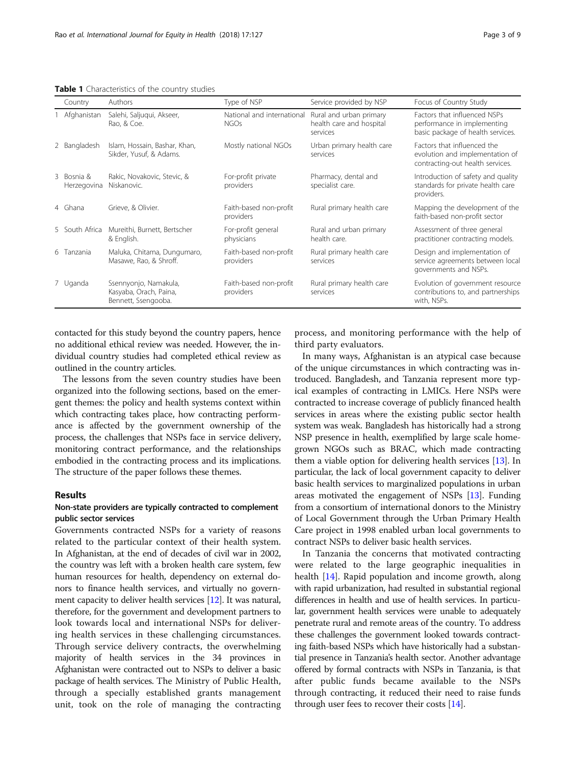<span id="page-2-0"></span>Table 1 Characteristics of the country studies

| Country                   | Authors                                                                | Type of NSP                               | Service provided by NSP                                         | Focus of Country Study                                                                             |
|---------------------------|------------------------------------------------------------------------|-------------------------------------------|-----------------------------------------------------------------|----------------------------------------------------------------------------------------------------|
| Afghanistan               | Salehi, Saljugui, Akseer,<br>Rao, & Coe.                               | National and international<br><b>NGOs</b> | Rural and urban primary<br>health care and hospital<br>services | Factors that influenced NSPs<br>performance in implementing<br>basic package of health services.   |
| 2 Bangladesh              | Islam, Hossain, Bashar, Khan,<br>Sikder, Yusuf, & Adams.               | Mostly national NGOs                      | Urban primary health care<br>services                           | Factors that influenced the<br>evolution and implementation of<br>contracting-out health services. |
| 3 Bosnia &<br>Herzegovina | Rakic, Novakovic, Stevic, &<br>Niskanovic.                             | For-profit private<br>providers           | Pharmacy, dental and<br>specialist care.                        | Introduction of safety and quality<br>standards for private health care<br>providers.              |
| 4 Ghana                   | Grieve, & Olivier.                                                     | Faith-based non-profit<br>providers       | Rural primary health care                                       | Mapping the development of the<br>faith-based non-profit sector                                    |
| 5 South Africa            | Mureithi, Burnett, Bertscher<br>& English.                             | For-profit general<br>physicians          | Rural and urban primary<br>health care.                         | Assessment of three general<br>practitioner contracting models.                                    |
| 6 Tanzania                | Maluka, Chitama, Dungumaro,<br>Masawe, Rao, & Shroff.                  | Faith-based non-profit<br>providers       | Rural primary health care<br>services                           | Design and implementation of<br>service agreements between local<br>governments and NSPs.          |
| 7 Uganda                  | Ssennyonjo, Namakula,<br>Kasyaba, Orach, Paina,<br>Bennett, Ssengooba. | Faith-based non-profit<br>providers       | Rural primary health care<br>services                           | Evolution of government resource<br>contributions to, and partnerships<br>with, NSPs.              |

contacted for this study beyond the country papers, hence no additional ethical review was needed. However, the individual country studies had completed ethical review as outlined in the country articles.

The lessons from the seven country studies have been organized into the following sections, based on the emergent themes: the policy and health systems context within which contracting takes place, how contracting performance is affected by the government ownership of the process, the challenges that NSPs face in service delivery, monitoring contract performance, and the relationships embodied in the contracting process and its implications. The structure of the paper follows these themes.

### Results

## Non-state providers are typically contracted to complement public sector services

Governments contracted NSPs for a variety of reasons related to the particular context of their health system. In Afghanistan, at the end of decades of civil war in 2002, the country was left with a broken health care system, few human resources for health, dependency on external donors to finance health services, and virtually no government capacity to deliver health services [\[12\]](#page-7-0). It was natural, therefore, for the government and development partners to look towards local and international NSPs for delivering health services in these challenging circumstances. Through service delivery contracts, the overwhelming majority of health services in the 34 provinces in Afghanistan were contracted out to NSPs to deliver a basic package of health services. The Ministry of Public Health, through a specially established grants management unit, took on the role of managing the contracting

process, and monitoring performance with the help of third party evaluators.

In many ways, Afghanistan is an atypical case because of the unique circumstances in which contracting was introduced. Bangladesh, and Tanzania represent more typical examples of contracting in LMICs. Here NSPs were contracted to increase coverage of publicly financed health services in areas where the existing public sector health system was weak. Bangladesh has historically had a strong NSP presence in health, exemplified by large scale homegrown NGOs such as BRAC, which made contracting them a viable option for delivering health services [\[13\]](#page-8-0). In particular, the lack of local government capacity to deliver basic health services to marginalized populations in urban areas motivated the engagement of NSPs [\[13\]](#page-8-0). Funding from a consortium of international donors to the Ministry of Local Government through the Urban Primary Health Care project in 1998 enabled urban local governments to contract NSPs to deliver basic health services.

In Tanzania the concerns that motivated contracting were related to the large geographic inequalities in health [[14](#page-8-0)]. Rapid population and income growth, along with rapid urbanization, had resulted in substantial regional differences in health and use of health services. In particular, government health services were unable to adequately penetrate rural and remote areas of the country. To address these challenges the government looked towards contracting faith-based NSPs which have historically had a substantial presence in Tanzania's health sector. Another advantage offered by formal contracts with NSPs in Tanzania, is that after public funds became available to the NSPs through contracting, it reduced their need to raise funds through user fees to recover their costs [[14](#page-8-0)].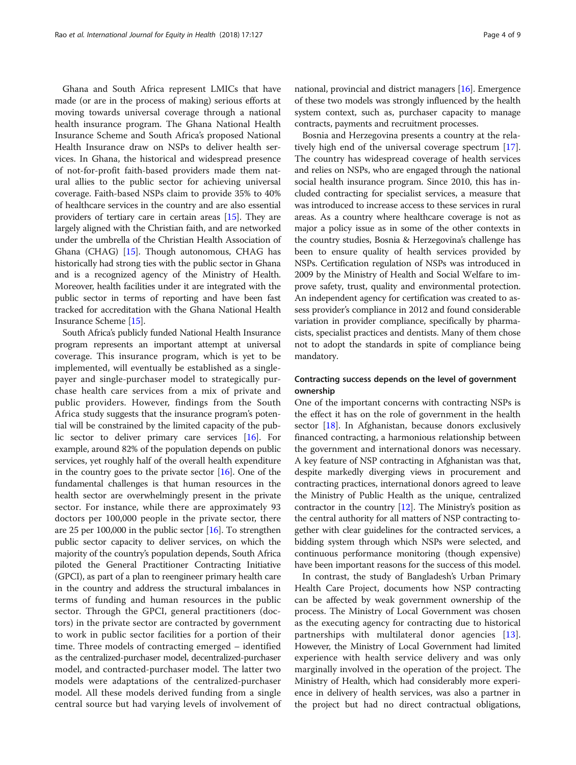Ghana and South Africa represent LMICs that have made (or are in the process of making) serious efforts at moving towards universal coverage through a national health insurance program. The Ghana National Health Insurance Scheme and South Africa's proposed National Health Insurance draw on NSPs to deliver health services. In Ghana, the historical and widespread presence of not-for-profit faith-based providers made them natural allies to the public sector for achieving universal coverage. Faith-based NSPs claim to provide 35% to 40% of healthcare services in the country and are also essential providers of tertiary care in certain areas [[15\]](#page-8-0). They are largely aligned with the Christian faith, and are networked under the umbrella of the Christian Health Association of Ghana (CHAG) [\[15](#page-8-0)]. Though autonomous, CHAG has historically had strong ties with the public sector in Ghana and is a recognized agency of the Ministry of Health. Moreover, health facilities under it are integrated with the public sector in terms of reporting and have been fast tracked for accreditation with the Ghana National Health Insurance Scheme [[15](#page-8-0)].

South Africa's publicly funded National Health Insurance program represents an important attempt at universal coverage. This insurance program, which is yet to be implemented, will eventually be established as a singlepayer and single-purchaser model to strategically purchase health care services from a mix of private and public providers. However, findings from the South Africa study suggests that the insurance program's potential will be constrained by the limited capacity of the public sector to deliver primary care services [\[16\]](#page-8-0). For example, around 82% of the population depends on public services, yet roughly half of the overall health expenditure in the country goes to the private sector  $[16]$  $[16]$ . One of the fundamental challenges is that human resources in the health sector are overwhelmingly present in the private sector. For instance, while there are approximately 93 doctors per 100,000 people in the private sector, there are 25 per 100,000 in the public sector [\[16\]](#page-8-0). To strengthen public sector capacity to deliver services, on which the majority of the country's population depends, South Africa piloted the General Practitioner Contracting Initiative (GPCI), as part of a plan to reengineer primary health care in the country and address the structural imbalances in terms of funding and human resources in the public sector. Through the GPCI, general practitioners (doctors) in the private sector are contracted by government to work in public sector facilities for a portion of their time. Three models of contracting emerged – identified as the centralized-purchaser model, decentralized-purchaser model, and contracted-purchaser model. The latter two models were adaptations of the centralized-purchaser model. All these models derived funding from a single central source but had varying levels of involvement of

national, provincial and district managers [[16](#page-8-0)]. Emergence of these two models was strongly influenced by the health system context, such as, purchaser capacity to manage contracts, payments and recruitment processes.

Bosnia and Herzegovina presents a country at the relatively high end of the universal coverage spectrum [\[17](#page-8-0)]. The country has widespread coverage of health services and relies on NSPs, who are engaged through the national social health insurance program. Since 2010, this has included contracting for specialist services, a measure that was introduced to increase access to these services in rural areas. As a country where healthcare coverage is not as major a policy issue as in some of the other contexts in the country studies, Bosnia & Herzegovina's challenge has been to ensure quality of health services provided by NSPs. Certification regulation of NSPs was introduced in 2009 by the Ministry of Health and Social Welfare to improve safety, trust, quality and environmental protection. An independent agency for certification was created to assess provider's compliance in 2012 and found considerable variation in provider compliance, specifically by pharmacists, specialist practices and dentists. Many of them chose not to adopt the standards in spite of compliance being mandatory.

## Contracting success depends on the level of government ownership

One of the important concerns with contracting NSPs is the effect it has on the role of government in the health sector [\[18\]](#page-8-0). In Afghanistan, because donors exclusively financed contracting, a harmonious relationship between the government and international donors was necessary. A key feature of NSP contracting in Afghanistan was that, despite markedly diverging views in procurement and contracting practices, international donors agreed to leave the Ministry of Public Health as the unique, centralized contractor in the country [[12](#page-7-0)]. The Ministry's position as the central authority for all matters of NSP contracting together with clear guidelines for the contracted services, a bidding system through which NSPs were selected, and continuous performance monitoring (though expensive) have been important reasons for the success of this model.

In contrast, the study of Bangladesh's Urban Primary Health Care Project, documents how NSP contracting can be affected by weak government ownership of the process. The Ministry of Local Government was chosen as the executing agency for contracting due to historical partnerships with multilateral donor agencies [\[13](#page-8-0)]. However, the Ministry of Local Government had limited experience with health service delivery and was only marginally involved in the operation of the project. The Ministry of Health, which had considerably more experience in delivery of health services, was also a partner in the project but had no direct contractual obligations,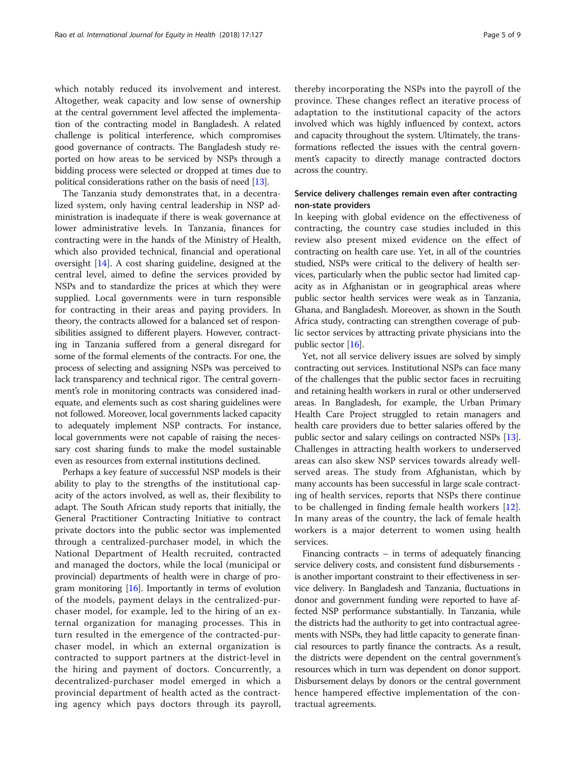which notably reduced its involvement and interest. Altogether, weak capacity and low sense of ownership at the central government level affected the implementation of the contracting model in Bangladesh. A related challenge is political interference, which compromises good governance of contracts. The Bangladesh study reported on how areas to be serviced by NSPs through a bidding process were selected or dropped at times due to political considerations rather on the basis of need [[13](#page-8-0)].

The Tanzania study demonstrates that, in a decentralized system, only having central leadership in NSP administration is inadequate if there is weak governance at lower administrative levels. In Tanzania, finances for contracting were in the hands of the Ministry of Health, which also provided technical, financial and operational oversight [[14\]](#page-8-0). A cost sharing guideline, designed at the central level, aimed to define the services provided by NSPs and to standardize the prices at which they were supplied. Local governments were in turn responsible for contracting in their areas and paying providers. In theory, the contracts allowed for a balanced set of responsibilities assigned to different players. However, contracting in Tanzania suffered from a general disregard for some of the formal elements of the contracts. For one, the process of selecting and assigning NSPs was perceived to lack transparency and technical rigor. The central government's role in monitoring contracts was considered inadequate, and elements such as cost sharing guidelines were not followed. Moreover, local governments lacked capacity to adequately implement NSP contracts. For instance, local governments were not capable of raising the necessary cost sharing funds to make the model sustainable even as resources from external institutions declined.

Perhaps a key feature of successful NSP models is their ability to play to the strengths of the institutional capacity of the actors involved, as well as, their flexibility to adapt. The South African study reports that initially, the General Practitioner Contracting Initiative to contract private doctors into the public sector was implemented through a centralized-purchaser model, in which the National Department of Health recruited, contracted and managed the doctors, while the local (municipal or provincial) departments of health were in charge of program monitoring  $[16]$ . Importantly in terms of evolution of the models, payment delays in the centralized-purchaser model, for example, led to the hiring of an external organization for managing processes. This in turn resulted in the emergence of the contracted-purchaser model, in which an external organization is contracted to support partners at the district-level in the hiring and payment of doctors. Concurrently, a decentralized-purchaser model emerged in which a provincial department of health acted as the contracting agency which pays doctors through its payroll,

thereby incorporating the NSPs into the payroll of the province. These changes reflect an iterative process of adaptation to the institutional capacity of the actors involved which was highly influenced by context, actors and capacity throughout the system. Ultimately, the transformations reflected the issues with the central government's capacity to directly manage contracted doctors across the country.

## Service delivery challenges remain even after contracting non-state providers

In keeping with global evidence on the effectiveness of contracting, the country case studies included in this review also present mixed evidence on the effect of contracting on health care use. Yet, in all of the countries studied, NSPs were critical to the delivery of health services, particularly when the public sector had limited capacity as in Afghanistan or in geographical areas where public sector health services were weak as in Tanzania, Ghana, and Bangladesh. Moreover, as shown in the South Africa study, contracting can strengthen coverage of public sector services by attracting private physicians into the public sector [[16](#page-8-0)].

Yet, not all service delivery issues are solved by simply contracting out services. Institutional NSPs can face many of the challenges that the public sector faces in recruiting and retaining health workers in rural or other underserved areas. In Bangladesh, for example, the Urban Primary Health Care Project struggled to retain managers and health care providers due to better salaries offered by the public sector and salary ceilings on contracted NSPs [[13](#page-8-0)]. Challenges in attracting health workers to underserved areas can also skew NSP services towards already wellserved areas. The study from Afghanistan, which by many accounts has been successful in large scale contracting of health services, reports that NSPs there continue to be challenged in finding female health workers [\[12](#page-7-0)]. In many areas of the country, the lack of female health workers is a major deterrent to women using health services.

Financing contracts – in terms of adequately financing service delivery costs, and consistent fund disbursements is another important constraint to their effectiveness in service delivery. In Bangladesh and Tanzania, fluctuations in donor and government funding were reported to have affected NSP performance substantially. In Tanzania, while the districts had the authority to get into contractual agreements with NSPs, they had little capacity to generate financial resources to partly finance the contracts. As a result, the districts were dependent on the central government's resources which in turn was dependent on donor support. Disbursement delays by donors or the central government hence hampered effective implementation of the contractual agreements.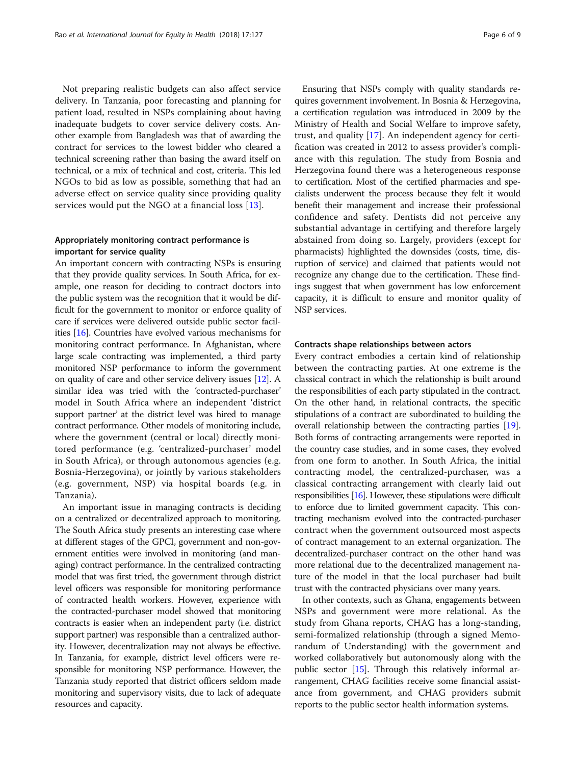Not preparing realistic budgets can also affect service delivery. In Tanzania, poor forecasting and planning for patient load, resulted in NSPs complaining about having inadequate budgets to cover service delivery costs. Another example from Bangladesh was that of awarding the contract for services to the lowest bidder who cleared a technical screening rather than basing the award itself on technical, or a mix of technical and cost, criteria. This led NGOs to bid as low as possible, something that had an adverse effect on service quality since providing quality services would put the NGO at a financial loss [\[13](#page-8-0)].

## Appropriately monitoring contract performance is important for service quality

An important concern with contracting NSPs is ensuring that they provide quality services. In South Africa, for example, one reason for deciding to contract doctors into the public system was the recognition that it would be difficult for the government to monitor or enforce quality of care if services were delivered outside public sector facilities [\[16\]](#page-8-0). Countries have evolved various mechanisms for monitoring contract performance. In Afghanistan, where large scale contracting was implemented, a third party monitored NSP performance to inform the government on quality of care and other service delivery issues [[12](#page-7-0)]. A similar idea was tried with the 'contracted-purchaser' model in South Africa where an independent 'district support partner' at the district level was hired to manage contract performance. Other models of monitoring include, where the government (central or local) directly monitored performance (e.g. 'centralized-purchaser' model in South Africa), or through autonomous agencies (e.g. Bosnia-Herzegovina), or jointly by various stakeholders (e.g. government, NSP) via hospital boards (e.g. in Tanzania).

An important issue in managing contracts is deciding on a centralized or decentralized approach to monitoring. The South Africa study presents an interesting case where at different stages of the GPCI, government and non-government entities were involved in monitoring (and managing) contract performance. In the centralized contracting model that was first tried, the government through district level officers was responsible for monitoring performance of contracted health workers. However, experience with the contracted-purchaser model showed that monitoring contracts is easier when an independent party (i.e. district support partner) was responsible than a centralized authority. However, decentralization may not always be effective. In Tanzania, for example, district level officers were responsible for monitoring NSP performance. However, the Tanzania study reported that district officers seldom made monitoring and supervisory visits, due to lack of adequate resources and capacity.

Ensuring that NSPs comply with quality standards requires government involvement. In Bosnia & Herzegovina, a certification regulation was introduced in 2009 by the Ministry of Health and Social Welfare to improve safety, trust, and quality [[17](#page-8-0)]. An independent agency for certification was created in 2012 to assess provider's compliance with this regulation. The study from Bosnia and Herzegovina found there was a heterogeneous response to certification. Most of the certified pharmacies and specialists underwent the process because they felt it would benefit their management and increase their professional confidence and safety. Dentists did not perceive any substantial advantage in certifying and therefore largely abstained from doing so. Largely, providers (except for pharmacists) highlighted the downsides (costs, time, disruption of service) and claimed that patients would not recognize any change due to the certification. These findings suggest that when government has low enforcement capacity, it is difficult to ensure and monitor quality of NSP services.

#### Contracts shape relationships between actors

Every contract embodies a certain kind of relationship between the contracting parties. At one extreme is the classical contract in which the relationship is built around the responsibilities of each party stipulated in the contract. On the other hand, in relational contracts, the specific stipulations of a contract are subordinated to building the overall relationship between the contracting parties [[19](#page-8-0)]. Both forms of contracting arrangements were reported in the country case studies, and in some cases, they evolved from one form to another. In South Africa, the initial contracting model, the centralized-purchaser, was a classical contracting arrangement with clearly laid out responsibilities [\[16](#page-8-0)]. However, these stipulations were difficult to enforce due to limited government capacity. This contracting mechanism evolved into the contracted-purchaser contract when the government outsourced most aspects of contract management to an external organization. The decentralized-purchaser contract on the other hand was more relational due to the decentralized management nature of the model in that the local purchaser had built trust with the contracted physicians over many years.

In other contexts, such as Ghana, engagements between NSPs and government were more relational. As the study from Ghana reports, CHAG has a long-standing, semi-formalized relationship (through a signed Memorandum of Understanding) with the government and worked collaboratively but autonomously along with the public sector [\[15\]](#page-8-0). Through this relatively informal arrangement, CHAG facilities receive some financial assistance from government, and CHAG providers submit reports to the public sector health information systems.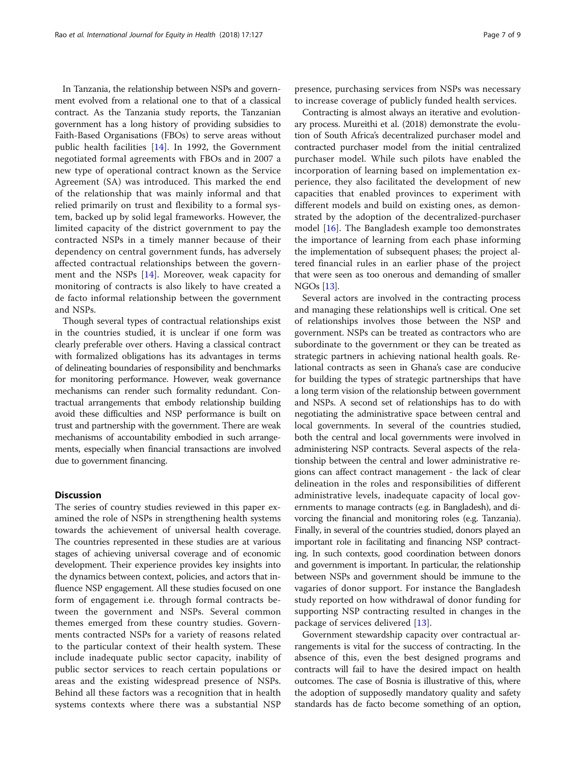In Tanzania, the relationship between NSPs and government evolved from a relational one to that of a classical contract. As the Tanzania study reports, the Tanzanian government has a long history of providing subsidies to Faith-Based Organisations (FBOs) to serve areas without public health facilities [[14\]](#page-8-0). In 1992, the Government negotiated formal agreements with FBOs and in 2007 a new type of operational contract known as the Service Agreement (SA) was introduced. This marked the end of the relationship that was mainly informal and that relied primarily on trust and flexibility to a formal system, backed up by solid legal frameworks. However, the limited capacity of the district government to pay the contracted NSPs in a timely manner because of their dependency on central government funds, has adversely affected contractual relationships between the government and the NSPs [\[14](#page-8-0)]. Moreover, weak capacity for monitoring of contracts is also likely to have created a de facto informal relationship between the government and NSPs.

Though several types of contractual relationships exist in the countries studied, it is unclear if one form was clearly preferable over others. Having a classical contract with formalized obligations has its advantages in terms of delineating boundaries of responsibility and benchmarks for monitoring performance. However, weak governance mechanisms can render such formality redundant. Contractual arrangements that embody relationship building avoid these difficulties and NSP performance is built on trust and partnership with the government. There are weak mechanisms of accountability embodied in such arrangements, especially when financial transactions are involved due to government financing.

## **Discussion**

The series of country studies reviewed in this paper examined the role of NSPs in strengthening health systems towards the achievement of universal health coverage. The countries represented in these studies are at various stages of achieving universal coverage and of economic development. Their experience provides key insights into the dynamics between context, policies, and actors that influence NSP engagement. All these studies focused on one form of engagement i.e. through formal contracts between the government and NSPs. Several common themes emerged from these country studies. Governments contracted NSPs for a variety of reasons related to the particular context of their health system. These include inadequate public sector capacity, inability of public sector services to reach certain populations or areas and the existing widespread presence of NSPs. Behind all these factors was a recognition that in health systems contexts where there was a substantial NSP

presence, purchasing services from NSPs was necessary to increase coverage of publicly funded health services.

Contracting is almost always an iterative and evolutionary process. Mureithi et al. (2018) demonstrate the evolution of South Africa's decentralized purchaser model and contracted purchaser model from the initial centralized purchaser model. While such pilots have enabled the incorporation of learning based on implementation experience, they also facilitated the development of new capacities that enabled provinces to experiment with different models and build on existing ones, as demonstrated by the adoption of the decentralized-purchaser model [[16\]](#page-8-0). The Bangladesh example too demonstrates the importance of learning from each phase informing the implementation of subsequent phases; the project altered financial rules in an earlier phase of the project that were seen as too onerous and demanding of smaller NGOs [\[13\]](#page-8-0).

Several actors are involved in the contracting process and managing these relationships well is critical. One set of relationships involves those between the NSP and government. NSPs can be treated as contractors who are subordinate to the government or they can be treated as strategic partners in achieving national health goals. Relational contracts as seen in Ghana's case are conducive for building the types of strategic partnerships that have a long term vision of the relationship between government and NSPs. A second set of relationships has to do with negotiating the administrative space between central and local governments. In several of the countries studied, both the central and local governments were involved in administering NSP contracts. Several aspects of the relationship between the central and lower administrative regions can affect contract management - the lack of clear delineation in the roles and responsibilities of different administrative levels, inadequate capacity of local governments to manage contracts (e.g. in Bangladesh), and divorcing the financial and monitoring roles (e.g. Tanzania). Finally, in several of the countries studied, donors played an important role in facilitating and financing NSP contracting. In such contexts, good coordination between donors and government is important. In particular, the relationship between NSPs and government should be immune to the vagaries of donor support. For instance the Bangladesh study reported on how withdrawal of donor funding for supporting NSP contracting resulted in changes in the package of services delivered [\[13](#page-8-0)].

Government stewardship capacity over contractual arrangements is vital for the success of contracting. In the absence of this, even the best designed programs and contracts will fail to have the desired impact on health outcomes. The case of Bosnia is illustrative of this, where the adoption of supposedly mandatory quality and safety standards has de facto become something of an option,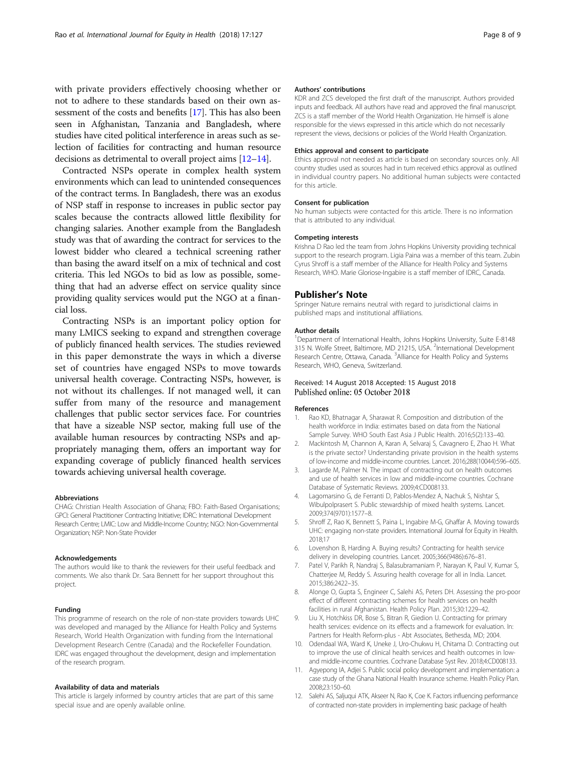<span id="page-7-0"></span>with private providers effectively choosing whether or not to adhere to these standards based on their own assessment of the costs and benefits [\[17\]](#page-8-0). This has also been seen in Afghanistan, Tanzania and Bangladesh, where studies have cited political interference in areas such as selection of facilities for contracting and human resource decisions as detrimental to overall project aims [12–[14](#page-8-0)].

Contracted NSPs operate in complex health system environments which can lead to unintended consequences of the contract terms. In Bangladesh, there was an exodus of NSP staff in response to increases in public sector pay scales because the contracts allowed little flexibility for changing salaries. Another example from the Bangladesh study was that of awarding the contract for services to the lowest bidder who cleared a technical screening rather than basing the award itself on a mix of technical and cost criteria. This led NGOs to bid as low as possible, something that had an adverse effect on service quality since providing quality services would put the NGO at a financial loss.

Contracting NSPs is an important policy option for many LMICS seeking to expand and strengthen coverage of publicly financed health services. The studies reviewed in this paper demonstrate the ways in which a diverse set of countries have engaged NSPs to move towards universal health coverage. Contracting NSPs, however, is not without its challenges. If not managed well, it can suffer from many of the resource and management challenges that public sector services face. For countries that have a sizeable NSP sector, making full use of the available human resources by contracting NSPs and appropriately managing them, offers an important way for expanding coverage of publicly financed health services towards achieving universal health coverage.

#### Abbreviations

CHAG: Christian Health Association of Ghana; FBO: Faith-Based Organisations; GPCI: General Practitioner Contracting Initiative; IDRC: International Development Research Centre; LMIC: Low and Middle-Income Country; NGO: Non-Governmental Organization; NSP: Non-State Provider

#### Acknowledgements

The authors would like to thank the reviewers for their useful feedback and comments. We also thank Dr. Sara Bennett for her support throughout this project.

#### Funding

This programme of research on the role of non-state providers towards UHC was developed and managed by the Alliance for Health Policy and Systems Research, World Health Organization with funding from the International Development Research Centre (Canada) and the Rockefeller Foundation. IDRC was engaged throughout the development, design and implementation of the research program.

#### Availability of data and materials

This article is largely informed by country articles that are part of this same special issue and are openly available online.

#### Authors' contributions

KDR and ZCS developed the first draft of the manuscript. Authors provided inputs and feedback. All authors have read and approved the final manuscript. ZCS is a staff member of the World Health Organization. He himself is alone responsible for the views expressed in this article which do not necessarily represent the views, decisions or policies of the World Health Organization.

#### Ethics approval and consent to participate

Ethics approval not needed as article is based on secondary sources only. All country studies used as sources had in turn received ethics approval as outlined in individual country papers. No additional human subjects were contacted for this article.

#### Consent for publication

No human subjects were contacted for this article. There is no information that is attributed to any individual.

#### Competing interests

Krishna D Rao led the team from Johns Hopkins University providing technical support to the research program. Ligia Paina was a member of this team. Zubin Cyrus Shroff is a staff member of the Alliance for Health Policy and Systems Research, WHO. Marie Gloriose-Ingabire is a staff member of IDRC, Canada.

#### Publisher's Note

Springer Nature remains neutral with regard to jurisdictional claims in published maps and institutional affiliations.

#### Author details

<sup>1</sup>Department of International Health, Johns Hopkins University, Suite E-8148 315 N. Wolfe Street, Baltimore, MD 21215, USA. <sup>2</sup> International Development Research Centre, Ottawa, Canada. <sup>3</sup>Alliance for Health Policy and Systems Research, WHO, Geneva, Switzerland.

#### Received: 14 August 2018 Accepted: 15 August 2018 Published online: 05 October 2018

#### References

- 1. Rao KD, Bhatnagar A, Sharawat R. Composition and distribution of the health workforce in India: estimates based on data from the National Sample Survey. WHO South East Asia J Public Health. 2016;5(2):133–40.
- 2. Mackintosh M, Channon A, Karan A, Selvaraj S, Cavagnero E, Zhao H. What is the private sector? Understanding private provision in the health systems of low-income and middle-income countries. Lancet. 2016;288(10044):596–605.
- 3. Lagarde M, Palmer N. The impact of contracting out on health outcomes and use of health services in low and middle-income countries. Cochrane Database of Systematic Reviews. 2009;4:CD008133.
- 4. Lagomarsino G, de Ferranti D, Pablos-Mendez A, Nachuk S, Nishtar S, Wibulpolprasert S. Public stewardship of mixed health systems. Lancet. 2009;374(9701):1577–8.
- 5. Shroff Z, Rao K, Bennett S, Paina L, Ingabire M-G, Ghaffar A. Moving towards UHC: engaging non-state providers. International Journal for Equity in Health. 2018;17
- 6. Lovenshon B, Harding A. Buying results? Contracting for health service delivery in developing countries. Lancet. 2005;366(9486):676–81.
- Patel V, Parikh R, Nandraj S, Balasubramaniam P, Narayan K, Paul V, Kumar S, Chatterjee M, Reddy S. Assuring health coverage for all in India. Lancet. 2015;386:2422–35.
- 8. Alonge O, Gupta S, Engineer C, Salehi AS, Peters DH. Assessing the pro-poor effect of different contracting schemes for health services on health facilities in rural Afghanistan. Health Policy Plan. 2015;30:1229–42.
- 9. Liu X, Hotchkiss DR, Bose S, Bitran R, Giedion U. Contracting for primary health services: evidence on its effects and a framework for evaluation. In: Partners for Health Reform-plus - Abt Associates, Bethesda, MD; 2004.
- 10. Odendaal WA, Ward K, Uneke J, Uro-Chukwu H, Chitama D. Contracting out to improve the use of clinical health services and health outcomes in lowand middle-income countries. Cochrane Database Syst Rev. 2018;4:CD008133.
- 11. Agyepong IA, Adjei S. Public social policy development and implementation: a case study of the Ghana National Health Insurance scheme. Health Policy Plan. 2008;23:150–60.
- 12. Salehi AS, Saljuqui ATK, Akseer N, Rao K, Coe K. Factors influencing performance of contracted non-state providers in implementing basic package of health